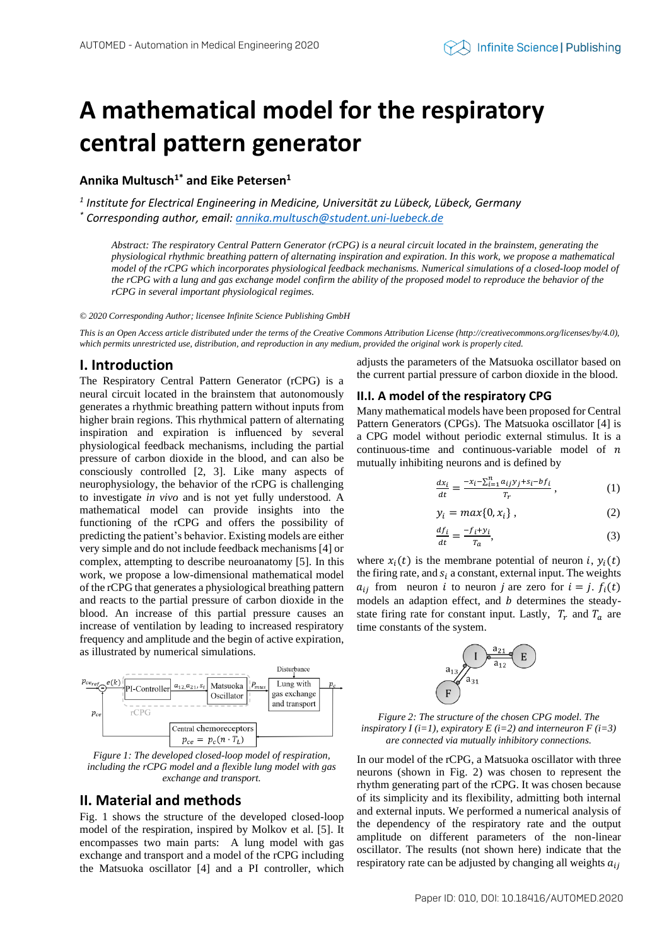# **A mathematical model for the respiratory central pattern generator**

**Annika Multusch1\* and Eike Petersen<sup>1</sup>**

*1 Institute for Electrical Engineering in Medicine, Universität zu Lübeck, Lübeck, Germany \* Corresponding author, email: annika.multusch@student.uni-luebeck.de*

*Abstract: The respiratory Central Pattern Generator (rCPG) is a neural circuit located in the brainstem, generating the physiological rhythmic breathing pattern of alternating inspiration and expiration. In this work, we propose a mathematical model of the rCPG which incorporates physiological feedback mechanisms. Numerical simulations of a closed-loop model of the rCPG with a lung and gas exchange model confirm the ability of the proposed model to reproduce the behavior of the rCPG in several important physiological regimes.*

*© 2020 Corresponding Author; licensee Infinite Science Publishing GmbH*

*This is an Open Access article distributed under the terms of the Creative Commons Attribution License (http://creativecommons.org/licenses/by/4.0),*  which permits unrestricted use, distribution, and reproduction in any medium, provided the original work is properly cited.

## **I. Introduction**

The Respiratory Central Pattern Generator (rCPG) is a neural circuit located in the brainstem that autonomously generates a rhythmic breathing pattern without inputs from higher brain regions. This rhythmical pattern of alternating inspiration and expiration is influenced by several physiological feedback mechanisms, including the partial pressure of carbon dioxide in the blood, and can also be consciously controlled [2, 3]. Like many aspects of neurophysiology, the behavior of the rCPG is challenging to investigate *in vivo* and is not yet fully understood. A mathematical model can provide insights into the functioning of the rCPG and offers the possibility of predicting the patient's behavior. Existing models are either very simple and do not include feedback mechanisms [4] or complex, attempting to describe neuroanatomy [5]. In this work, we propose a low-dimensional mathematical model of the rCPG that generates a physiological breathing pattern and reacts to the partial pressure of carbon dioxide in the blood. An increase of this partial pressure causes an increase of ventilation by leading to increased respiratory frequency and amplitude and the begin of active expiration, as illustrated by numerical simulations.



*Figure 1: The developed closed-loop model of respiration, including the rCPG model and a flexible lung model with gas exchange and transport.*

## **II. Material and methods**

Fig. 1 shows the structure of the developed closed-loop model of the respiration, inspired by Molkov et al. [5]. It encompasses two main parts: A lung model with gas exchange and transport and a model of the rCPG including the Matsuoka oscillator [4] and a PI controller, which adjusts the parameters of the Matsuoka oscillator based on the current partial pressure of carbon dioxide in the blood.

#### **II.I. A model of the respiratory CPG**

Many mathematical models have been proposed for Central Pattern Generators (CPGs). The Matsuoka oscillator [4] is a CPG model without periodic external stimulus. It is a continuous-time and continuous-variable model of  $n$ mutually inhibiting neurons and is defined by

$$
\frac{dx_i}{dt} = \frac{-x_i - \sum_{i=1}^n a_{ij}y_j + s_i - bf_i}{T_r},\tag{1}
$$

$$
y_i = max\{0, x_i\},\tag{2}
$$

$$
\frac{df_i}{dt} = \frac{-f_i + y_i}{T_a},\tag{3}
$$

where  $x_i(t)$  is the membrane potential of neuron i,  $y_i(t)$ the firing rate, and  $s_i$  a constant, external input. The weights  $a_{ij}$  from neuron *i* to neuron *j* are zero for  $i = j$ .  $f_i(t)$ models an adaption effect, and  $b$  determines the steadystate firing rate for constant input. Lastly,  $T_r$  and  $T_a$  are time constants of the system.



*Figure 2: The structure of the chosen CPG model. The inspiratory I (i=1), expiratory E (i=2) and interneuron F (i=3) are connected via mutually inhibitory connections.*

In our model of the rCPG, a Matsuoka oscillator with three neurons (shown in Fig. 2) was chosen to represent the rhythm generating part of the rCPG. It was chosen because of its simplicity and its flexibility, admitting both internal and external inputs. We performed a numerical analysis of the dependency of the respiratory rate and the output amplitude on different parameters of the non-linear oscillator. The results (not shown here) indicate that the respiratory rate can be adjusted by changing all weights  $a_{ij}$